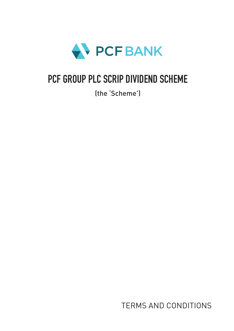

# PCF GROUP PLC SCRIP DIVIDEND SCHEME

(the 'Scheme')

TERMS AND CONDITIONS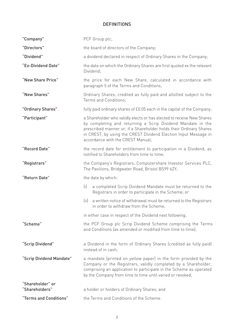# **DEFINITIONS**

| "Company"                          | PCF Group plc;                                                                                                                                                                                                                                                                                                     |
|------------------------------------|--------------------------------------------------------------------------------------------------------------------------------------------------------------------------------------------------------------------------------------------------------------------------------------------------------------------|
| "Directors"                        | the board of directors of the Company;                                                                                                                                                                                                                                                                             |
| "Dividend"                         | a dividend declared in respect of Ordinary Shares in the Company;                                                                                                                                                                                                                                                  |
| "Ex-Dividend Date"                 | the date on which the Ordinary Shares are first quoted ex the relevant<br>Dividend;                                                                                                                                                                                                                                |
| "New Share Price"                  | the price for each New Share, calculated in accordance with<br>paragraph 5 of the Terms and Conditions;                                                                                                                                                                                                            |
| "New Shares"                       | Ordinary Shares, credited as fully paid and allotted subject to the<br>Terms and Conditions;                                                                                                                                                                                                                       |
| "Ordinary Shares"                  | fully paid ordinary shares of £0.05 each in the capital of the Company;                                                                                                                                                                                                                                            |
| "Participant"                      | a Shareholder who validly elects or has elected to receive New Shares<br>by completing and returning a Scrip Dividend Mandate in the<br>prescribed manner or, if a Shareholder holds their Ordinary Shares<br>in CREST, by using the CREST Dividend Election Input Message in<br>accordance with the CREST Manual; |
| "Record Date"                      | the record date for entitlement to participation in a Dividend, as<br>notified to Shareholders from time to time;                                                                                                                                                                                                  |
| "Registrars"                       | the Company's Registrars, Computershare Investor Services PLC,<br>The Pavilions, Bridgwater Road, Bristol BS99 6ZY;                                                                                                                                                                                                |
| "Return Date"                      | the date by which:                                                                                                                                                                                                                                                                                                 |
|                                    | (i)<br>a completed Scrip Dividend Mandate must be returned to the<br>Registrars in order to participate in the Scheme; or                                                                                                                                                                                          |
|                                    | (ii)<br>a written notice of withdrawal must be returned to the Registrars<br>in order to withdraw from the Scheme,                                                                                                                                                                                                 |
|                                    | in either case in respect of the Dividend next following;                                                                                                                                                                                                                                                          |
| "Scheme"                           | the PCF Group plc Scrip Dividend Scheme comprising the Terms<br>and Conditions (as amended or modified from time to time):                                                                                                                                                                                         |
| "Scrip Dividend"                   | a Dividend in the form of Ordinary Shares (credited as fully paid)<br>instead of in cash;                                                                                                                                                                                                                          |
| "Scrip Dividend Mandate"           | a mandate (printed on yellow paper) in the form provided by the<br>Company or the Registrars, validly completed by a Shareholder,<br>comprising an application to participate in the Scheme as operated<br>by the Company from time to time until varied or revoked;                                               |
| "Shareholder" or<br>"Shareholders" | a holder or holders of Ordinary Shares; and                                                                                                                                                                                                                                                                        |
| "Terms and Conditions"             | the Terms and Conditions of the Scheme.                                                                                                                                                                                                                                                                            |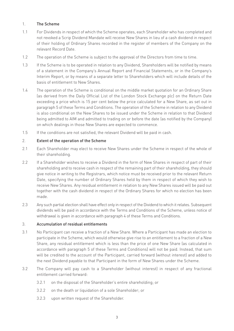#### 1. The Scheme

- 1.1 For Dividends in respect of which the Scheme operates, each Shareholder who has completed and not revoked a Scrip Dividend Mandate will receive New Shares in lieu of a cash dividend in respect of their holding of Ordinary Shares recorded in the register of members of the Company on the relevant Record Date.
- 1.2 The operation of the Scheme is subject to the approval of the Directors from time to time.
- 1.3 If the Scheme is to be operated in relation to any Dividend, Shareholders will be notified by means of a statement in the Company's Annual Report and Financial Statements, or in the Company's Interim Report, or by means of a separate letter to Shareholders which will include details of the basis of entitlement to New Shares.
- 1.4 The operation of the Scheme is conditional on the middle market quotation for an Ordinary Share (as derived from the Daily Official List of the London Stock Exchange plc) on the Return Date exceeding a price which is 15 per cent below the price calculated for a New Share, as set out in paragraph 5 of these Terms and Conditions. The operation of the Scheme in relation to any Dividend is also conditional on the New Shares to be issued under the Scheme in relation to that Dividend being admitted to AIM and admitted to trading on or before the date (as notified by the Company) on which dealings in those New Shares are expected to commence.
- 1.5 If the conditions are not satisfied, the relevant Dividend will be paid in cash.

#### 2. Extent of the operation of the Scheme

- 2.1 Each Shareholder may elect to receive New Shares under the Scheme in respect of the whole of their shareholding.
- 2.2 If a Shareholder wishes to receive a Dividend in the form of New Shares in respect of part of their shareholding and to receive cash in respect of the remaining part of their shareholding, they should give notice in writing to the Registrars, which notice must be received prior to the relevant Return Date, specifying the number of Ordinary Shares held by them in respect of which they wish to receive New Shares. Any residual entitlement in relation to any New Shares issued will be paid out together with the cash dividend in respect of the Ordinary Shares for which no election has been made.
- 2.3 Any such partial election shall have effect only in respect of the Dividend to which it relates. Subsequent dividends will be paid in accordance with the Terms and Conditions of the Scheme, unless notice of withdrawal is given in accordance with paragraph 4 of these Terms and Conditions.

#### 3. Accumulation of residual entitlements

- 3.1 No Participant can receive a fraction of a New Share. Where a Participant has made an election to participate in the Scheme, which would otherwise give rise to an entitlement to a fraction of a New Share, any residual entitlement which is less than the price of one New Share (as calculated in accordance with paragraph 5 of these Terms and Conditions) will not be paid. Instead, that sum will be credited to the account of the Participant, carried forward (without interest) and added to the next Dividend payable to that Participant in the form of New Shares under the Scheme.
- 3.2 The Company will pay cash to a Shareholder (without interest) in respect of any fractional entitlement carried forward:
	- 3.2.1 on the disposal of the Shareholder's entire shareholding; or
	- 3.2.2 on the death or liquidation of a sole Shareholder; or
	- 3.2.3 upon written request of the Shareholder.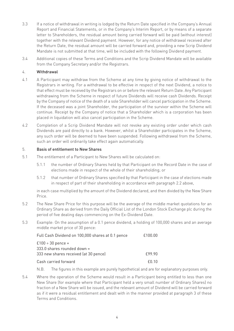- 3.3 If a notice of withdrawal in writing is lodged by the Return Date specified in the Company's Annual Report and Financial Statements, or in the Company's Interim Report, or by means of a separate letter to Shareholders, the residual amount being carried forward will be paid (without interest) together with the relevant Dividend payment. However, for any notice of withdrawal received after the Return Date, the residual amount will be carried forward and, providing a new Scrip Dividend Mandate is not submitted at that time, will be included with the following Dividend payment.
- 3.4 Additional copies of these Terms and Conditions and the Scrip Dividend Mandate will be available from the Company Secretary and/or the Registrars.

### 4. Withdrawal

- 4.1 A Participant may withdraw from the Scheme at any time by giving notice of withdrawal to the Registrars in writing. For a withdrawal to be effective in respect of the next Dividend, a notice to that effect must be received by the Registrars on or before the relevant Return Date. Any Participant withdrawing from the Scheme in respect of future Dividends will receive cash Dividends. Receipt by the Company of notice of the death of a sole Shareholder will cancel participation in the Scheme. If the deceased was a joint Shareholder, the participation of the survivor within the Scheme will continue. Receipt by the Company of notice that a Shareholder which is a corporation has been placed in liquidation will also cancel participation in the Scheme.
- 4.2 Completion of a Scrip Dividend Mandate will not revoke any existing order under which cash Dividends are paid directly to a bank. However, whilst a Shareholder participates in the Scheme, any such order will be deemed to have been suspended. Following withdrawal from the Scheme, such an order will ordinarily take effect again automatically.

#### 5. Basis of entitlement to New Shares

- 5.1 The entitlement of a Participant to New Shares will be calculated on:
	- 5.1.1 the number of Ordinary Shares held by that Participant on the Record Date in the case of elections made in respect of the whole of their shareholding; or
	- 5.1.2 that number of Ordinary Shares specified by that Participant in the case of elections made in respect of part of their shareholding in accordance with paragraph 2.2 above,

in each case multiplied by the amount of the Dividend declared, and then divided by the New Share Price.

- 5.2 The New Share Price for this purpose will be the average of the middle market quotations for an Ordinary Share as derived from the Daily Official List of the London Stock Exchange plc during the period of five dealing days commencing on the Ex-Dividend Date.
- 5.3 Example: On the assumption of a 0.1 pence dividend, a holding of 100,000 shares and an average middle market price of 30 pence:

| Full Cash Dividend on 100,000 shares at 0.1 pence  | £100.00      |
|----------------------------------------------------|--------------|
| $£100 ÷ 30$ pence =<br>333.0 shares rounded down = |              |
| 333 new shares received (at 30 pence)              | £99.90       |
| Cash carried forward                               | $f()$ 1 $()$ |

N.B. The figures in this example are purely hypothetical and are for explanatory purposes only.

5.4 Where the operation of the Scheme would result in a Participant being entitled to less than one New Share (for example where that Participant held a very small number of Ordinary Shares) no fraction of a New Share will be issued, and the relevant amount of Dividend will be carried forward as if it were a residual entitlement and dealt with in the manner provided at paragraph 3 of these Terms and Conditions.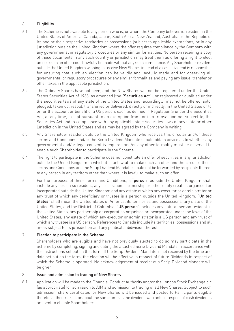## 6. Eligibility

- 6.1 The Scheme is not available to any person who is, or whom the Company believes is, resident in the United States of America, Canada, Japan, South Africa, New Zealand, Australia or the Republic of Ireland or their respective territories or possessions (subject to applicable exemptions) or in any jurisdiction outside the United Kingdom where the offer requires compliance by the Company with any governmental or regulatory procedures or any similar formalities. No person receiving a copy of these documents in any such country or jurisdiction may treat them as offering a right to elect unless such an offer could lawfully be made without any such compliance. Any Shareholder resident outside the United Kingdom wishing to receive New Shares instead of a cash dividend is responsible for ensuring that such an election can be validly and lawfully made and for observing all governmental or regulatory procedures or any similar formalities and paying any issue, transfer or other taxes in the applicable jurisdiction.
- 6.2 The Ordinary Shares have not been, and the New Shares will not be, registered under the United States Securities Act of 1933, as amended (the "Securities Act"), or registered or qualified under the securities laws of any state of the United States and, accordingly, may not be offered, sold, pledged, taken up, resold, transferred or delivered, directly or indirectly, in the United States or to or for the account or benefit of a US person, each as defined in Regulation S under the Securities Act, at any time, except pursuant to an exemption from, or in a transaction not subject to, the Securities Act and in compliance with any applicable state securities laws of any state or other jurisdiction in the United States and as may be agreed by the Company in writing.
- 6.3 Any Shareholder resident outside the United Kingdom who receives this circular and/or these Terms and Conditions and/or the Scrip Dividend Mandate should obtain advice as to whether any governmental and/or legal consent is required and/or any other formality must be observed to enable such Shareholder to participate in the Scheme.
- 6.4 The right to participate in the Scheme does not constitute an offer of securities in any jurisdiction outside the United Kingdom in which it is unlawful to make such an offer and the circular, these Terms and Conditions and the Scrip Dividend Mandate should not be forwarded by recipients thereof to any person in any territory other than where it is lawful to make such an offer.
- 6.5 For the purposes of these Terms and Conditions, a "person" outside the United Kingdom shall include any person so resident, any corporation, partnership or other entity created, organised or incorporated outside the United Kingdom and any estate of which any executor or administrator or any trust of which any beneficiary or trustee is a person outside the United Kingdom. "United States" shall mean the United States of America, its territories and possessions, any state of the United States, and the District of Columbia. "US person" includes any natural person resident in the United States, any partnership or corporation organised or incorporated under the laws of the United States, any estate of which any executor or administrator is a US person and any trust of which any trustee is a US person. References to Canada include its territories, possessions and all areas subject to its jurisdiction and any political subdivision thereof.

# 7. Election to participate in the Scheme

Shareholders who are eligible and have not previously elected to do so may participate in the Scheme by completing, signing and dating the attached Scrip Dividend Mandate in accordance with the instructions set out on that form. If the Scrip Dividend Mandate is not received by the time and date set out on the form, the election will be effective in respect of future Dividends in respect of which the Scheme is operated. No acknowledgement of receipt of a Scrip Dividend Mandate will be given.

#### 8. Issue and admission to trading of New Shares

8.1 Application will be made to the Financial Conduct Authority and/or the London Stock Exchange plc (as appropriate) for admission to AIM and admission to trading of all New Shares. Subject to such admission, share certificates for New Shares will be issued and posted to Participants eligible thereto, at their risk, at or about the same time as the dividend warrants in respect of cash dividends are sent to eligible Shareholders.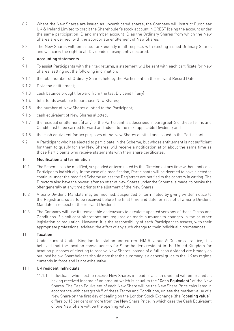- 8.2 Where the New Shares are issued as uncertificated shares, the Company will instruct Euroclear UK & Ireland Limited to credit the Shareholder's stock account in CREST (being the account under the same participation ID and member account ID as the Ordinary Shares from which the New Shares are derived) with the appropriate entitlement of New Shares.
- 8.3 The New Shares will, on issue, rank equally in all respects with existing issued Ordinary Shares and will carry the right to all Dividends subsequently declared.

#### 9. Accounting statements

- 9.1 To assist Participants with their tax returns, a statement will be sent with each certificate for New Shares, setting out the following information:
- 9.1.1 the total number of Ordinary Shares held by the Participant on the relevant Record Date;
- 9.1.2 Dividend entitlement;
- 9.1.3 cash balance brought forward from the last Dividend (if any);
- 9.1.4 total funds available to purchase New Shares;
- 9.1.5 the number of New Shares allotted to the Participant;
- 9.1.6 cash equivalent of New Shares allotted:
- 9.1.7 the residual entitlement (if any) of the Participant (as described in paragraph 3 of these Terms and Conditions) to be carried forward and added to the next applicable Dividend; and
- 9.1.8 the cash equivalent for tax purposes of the New Shares allotted and issued to the Participant.
- 9.2 A Participant who has elected to participate in the Scheme, but whose entitlement is not sufficient for them to qualify for any New Shares, will receive a notification at or about the same time as those Participants who receive statements with their share certificates.

#### 10. Modification and termination

- 10.1 The Scheme can be modified, suspended or terminated by the Directors at any time without notice to Participants individually. In the case of a modification, Participants will be deemed to have elected to continue under the modified Scheme unless the Registrars are notified to the contrary in writing. The Directors also have the power, after an offer of New Shares under the Scheme is made, to revoke the offer generally at any time prior to the allotment of the New Shares.
- 10.2 A Scrip Dividend Mandate may be modified, suspended or terminated by giving written notice to the Registrars, so as to be received before the final time and date for receipt of a Scrip Dividend Mandate in respect of the relevant Dividend.
- 10.3 The Company will use its reasonable endeavours to circulate updated versions of these Terms and Conditions if significant alterations are required or made pursuant to changes in tax or other legislation or regulation. However, it is the responsibility of each Participant to assess, with their appropriate professional adviser, the effect of any such change to their individual circumstances.

#### 11. Taxation

Under current United Kingdom legislation and current HM Revenue & Customs practice, it is believed that the taxation consequences for Shareholders resident in the United Kingdom for taxation purposes of electing to receive New Shares instead of a full cash dividend are broadly as outlined below. Shareholders should note that the summary is a general guide to the UK tax regime currently in force and is not exhaustive.

#### 11.1 UK resident individuals

11.1.1 Individuals who elect to receive New Shares instead of a cash dividend will be treated as having received income of an amount which is equal to the "Cash Equivalent" of the New Shares. The Cash Equivalent of each New Share will be the New Share Price calculated in accordance with paragraph 5 of these Terms and Conditions, unless the market value of a New Share on the first day of dealing on the London Stock Exchange (the "opening value") differs by 15 per cent or more from the New Share Price, in which case the Cash Equivalent of one New Share will be the opening value.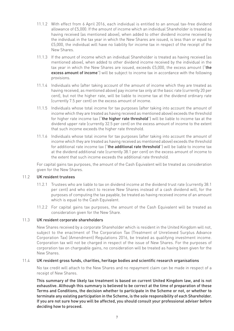- 11.1.2 With effect from 6 April 2016, each individual is entitled to an annual tax-free dividend allowance of £5,000. If the amount of income which an individual Shareholder is treated as having received (as mentioned above), when added to other dividend income received by the individual in the tax year in which the New Shares are issued, is less than or equal to £5,000, the individual will have no liability for income tax in respect of the receipt of the New Shares.
- 11.1.3 If the amount of income which an individual Shareholder is treated as having received (as mentioned above), when added to other dividend income received by the individual in the tax year in which the New Shares are issued, exceeds £5,000, the excess amount ("the excess amount of income") will be subject to income tax in accordance with the following provisions.
- 11.1.4 Individuals who (after taking account of the amount of income which they are treated as having received, as mentioned above) pay income tax only at the basic rate (currently 20 per cent), but not the higher rate, will be liable to income tax at the dividend ordinary rate (currently 7.5 per cent) on the excess amount of income.
- 11.1.5 Individuals whose total income for tax purposes (after taking into account the amount of income which they are treated as having received as mentioned above) exceeds the threshold for higher rate income tax ("the higher rate threshold") will be liable to income tax at the dividend upper rate (currently 32.5 per cent) on the excess amount of income to the extent that such income exceeds the higher rate threshold.
- 11.1.6 Individuals whose total income for tax purposes (after taking into account the amount of income which they are treated as having received as mentioned above) exceeds the threshold for additional rate income tax ("the additional rate threshold") will be liable to income tax at the dividend additional rate (currently 38.1 per cent) on the excess amount of income to the extent that such income exceeds the additional rate threshold.

For capital gains tax purposes, the amount of the Cash Equivalent will be treated as consideration given for the New Shares.

#### 11.2 UK resident trustees

- 11.2.1 Trustees who are liable to tax on dividend income at the dividend trust rate (currently 38.1 per cent) and who elect to receive New Shares instead of a cash dividend will, for the purposes of computing the tax payable, be treated as having received income of an amount which is equal to the Cash Equivalent.
- 11.2.2 For capital gains tax purposes, the amount of the Cash Equivalent will be treated as consideration given for the New Share.

#### 11.3 UK resident corporate shareholders

New Shares received by a corporate Shareholder which is resident in the United Kingdom will not, subject to the enactment of The Corporation Tax (Treatment of Unrelieved Surplus Advance Corporation Tax) (Amendment) Regulations 2016, be treated as qualifying investment income. Corporation tax will not be charged in respect of the issue of New Shares. For the purposes of corporation tax on chargeable gains, no consideration will be treated as having been given for the New Shares.

#### 11.4 UK resident gross funds, charities, heritage bodies and scientific research organisations

No tax credit will attach to the New Shares and no repayment claim can be made in respect of a receipt of New Shares.

This summary of the likely tax treatment is based on current United Kingdom law, and is not exhaustive. Although this summary is believed to be correct at the time of preparation of these Terms and Conditions, the decision whether to participate in the Scheme or not, or whether to terminate any existing participation in the Scheme, is the sole responsibility of each Shareholder. If you are not sure how you will be affected, you should consult your professional adviser before deciding how to proceed.